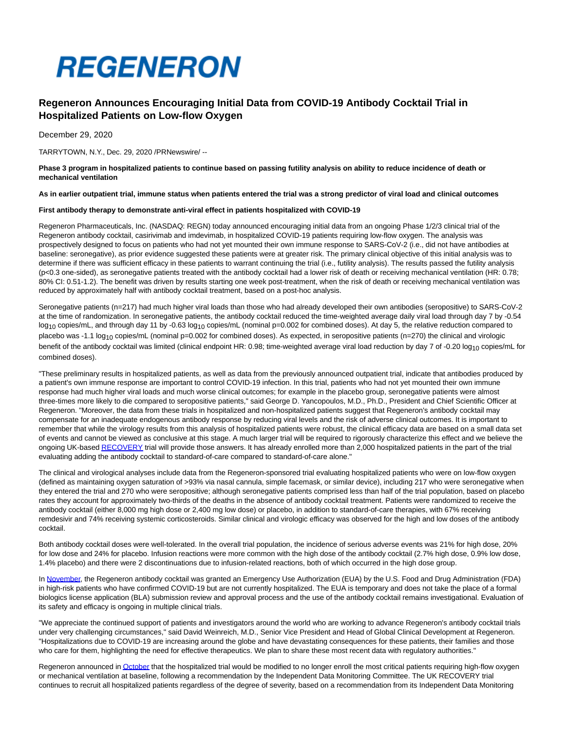# **REGENERON**

# **Regeneron Announces Encouraging Initial Data from COVID-19 Antibody Cocktail Trial in Hospitalized Patients on Low-flow Oxygen**

December 29, 2020

TARRYTOWN, N.Y., Dec. 29, 2020 /PRNewswire/ --

**Phase 3 program in hospitalized patients to continue based on passing futility analysis on ability to reduce incidence of death or mechanical ventilation**

**As in earlier outpatient trial, immune status when patients entered the trial was a strong predictor of viral load and clinical outcomes**

#### **First antibody therapy to demonstrate anti-viral effect in patients hospitalized with COVID-19**

Regeneron Pharmaceuticals, Inc. (NASDAQ: REGN) today announced encouraging initial data from an ongoing Phase 1/2/3 clinical trial of the Regeneron antibody cocktail, casirivimab and imdevimab, in hospitalized COVID-19 patients requiring low-flow oxygen. The analysis was prospectively designed to focus on patients who had not yet mounted their own immune response to SARS-CoV-2 (i.e., did not have antibodies at baseline: seronegative), as prior evidence suggested these patients were at greater risk. The primary clinical objective of this initial analysis was to determine if there was sufficient efficacy in these patients to warrant continuing the trial (i.e., futility analysis). The results passed the futility analysis (p<0.3 one-sided), as seronegative patients treated with the antibody cocktail had a lower risk of death or receiving mechanical ventilation (HR: 0.78; 80% CI: 0.51-1.2). The benefit was driven by results starting one week post-treatment, when the risk of death or receiving mechanical ventilation was reduced by approximately half with antibody cocktail treatment, based on a post-hoc analysis.

Seronegative patients (n=217) had much higher viral loads than those who had already developed their own antibodies (seropositive) to SARS-CoV-2 at the time of randomization. In seronegative patients, the antibody cocktail reduced the time-weighted average daily viral load through day 7 by -0.54 log<sub>10</sub> copies/mL, and through day 11 by -0.63 log<sub>10</sub> copies/mL (nominal p=0.002 for combined doses). At day 5, the relative reduction compared to placebo was -1.1 log<sub>10</sub> copies/mL (nominal p=0.002 for combined doses). As expected, in seropositive patients (n=270) the clinical and virologic benefit of the antibody cocktail was limited (clinical endpoint HR: 0.98; time-weighted average viral load reduction by day 7 of -0.20 log<sub>10</sub> copies/mL for combined doses).

"These preliminary results in hospitalized patients, as well as data from the previously announced outpatient trial, indicate that antibodies produced by a patient's own immune response are important to control COVID-19 infection. In this trial, patients who had not yet mounted their own immune response had much higher viral loads and much worse clinical outcomes; for example in the placebo group, seronegative patients were almost three-times more likely to die compared to seropositive patients," said George D. Yancopoulos, M.D., Ph.D., President and Chief Scientific Officer at Regeneron. "Moreover, the data from these trials in hospitalized and non-hospitalized patients suggest that Regeneron's antibody cocktail may compensate for an inadequate endogenous antibody response by reducing viral levels and the risk of adverse clinical outcomes. It is important to remember that while the virology results from this analysis of hospitalized patients were robust, the clinical efficacy data are based on a small data set of events and cannot be viewed as conclusive at this stage. A much larger trial will be required to rigorously characterize this effect and we believe the ongoing UK-base[d RECOVERY t](https://c212.net/c/link/?t=0&l=en&o=3023456-1&h=2631422887&u=https%3A%2F%2Fwww.recoverytrial.net%2F&a=RECOVERY)rial will provide those answers. It has already enrolled more than 2,000 hospitalized patients in the part of the trial evaluating adding the antibody cocktail to standard-of-care compared to standard-of-care alone."

The clinical and virological analyses include data from the Regeneron-sponsored trial evaluating hospitalized patients who were on low-flow oxygen (defined as maintaining oxygen saturation of >93% via nasal cannula, simple facemask, or similar device), including 217 who were seronegative when they entered the trial and 270 who were seropositive; although seronegative patients comprised less than half of the trial population, based on placebo rates they account for approximately two-thirds of the deaths in the absence of antibody cocktail treatment. Patients were randomized to receive the antibody cocktail (either 8,000 mg high dose or 2,400 mg low dose) or placebo, in addition to standard-of-care therapies, with 67% receiving remdesivir and 74% receiving systemic corticosteroids. Similar clinical and virologic efficacy was observed for the high and low doses of the antibody cocktail.

Both antibody cocktail doses were well-tolerated. In the overall trial population, the incidence of serious adverse events was 21% for high dose, 20% for low dose and 24% for placebo. Infusion reactions were more common with the high dose of the antibody cocktail (2.7% high dose, 0.9% low dose, 1.4% placebo) and there were 2 discontinuations due to infusion-related reactions, both of which occurred in the high dose group.

In [November,](https://c212.net/c/link/?t=0&l=en&o=3023456-1&h=2334930207&u=https%3A%2F%2Finvestor.regeneron.com%2Fnews-releases%2Fnews-release-details%2Fregenerons-regen-cov2-first-antibody-cocktail-covid-19-receive&a=November) the Regeneron antibody cocktail was granted an Emergency Use Authorization (EUA) by the U.S. Food and Drug Administration (FDA) in high-risk patients who have confirmed COVID-19 but are not currently hospitalized. The EUA is temporary and does not take the place of a formal biologics license application (BLA) submission review and approval process and the use of the antibody cocktail remains investigational. Evaluation of its safety and efficacy is ongoing in multiple clinical trials.

"We appreciate the continued support of patients and investigators around the world who are working to advance Regeneron's antibody cocktail trials under very challenging circumstances," said David Weinreich, M.D., Senior Vice President and Head of Global Clinical Development at Regeneron. "Hospitalizations due to COVID-19 are increasing around the globe and have devastating consequences for these patients, their families and those who care for them, highlighting the need for effective therapeutics. We plan to share these most recent data with regulatory authorities."

Regeneron announced i[n October t](https://c212.net/c/link/?t=0&l=en&o=3023456-1&h=2436759824&u=https%3A%2F%2Finvestor.regeneron.com%2Findex.php%2Fnews-releases%2Fnews-release-details%2Fregn-cov2-independent-data-monitoring-committee-recommends&a=October)hat the hospitalized trial would be modified to no longer enroll the most critical patients requiring high-flow oxygen or mechanical ventilation at baseline, following a recommendation by the Independent Data Monitoring Committee. The UK RECOVERY trial continues to recruit all hospitalized patients regardless of the degree of severity, based on a recommendation from its Independent Data Monitoring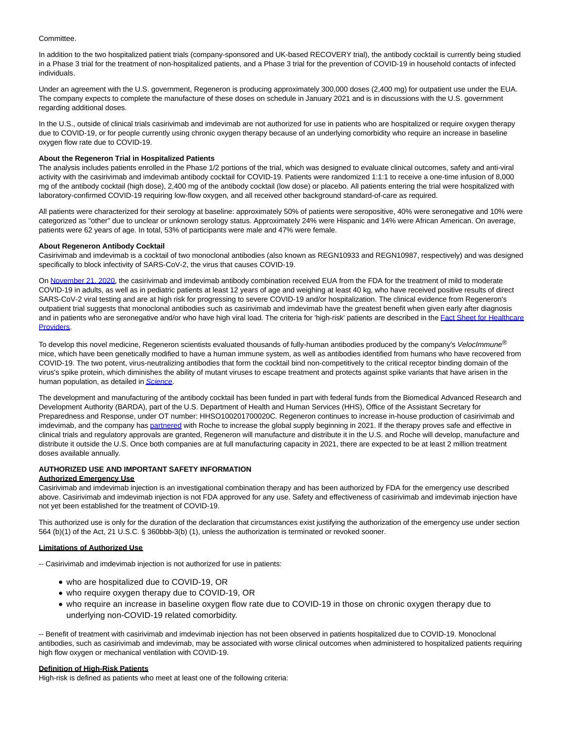#### **Committee**

In addition to the two hospitalized patient trials (company-sponsored and UK-based RECOVERY trial), the antibody cocktail is currently being studied in a Phase 3 trial for the treatment of non-hospitalized patients, and a Phase 3 trial for the prevention of COVID-19 in household contacts of infected individuals.

Under an agreement with the U.S. government, Regeneron is producing approximately 300,000 doses (2,400 mg) for outpatient use under the EUA. The company expects to complete the manufacture of these doses on schedule in January 2021 and is in discussions with the U.S. government regarding additional doses.

In the U.S., outside of clinical trials casirivimab and imdevimab are not authorized for use in patients who are hospitalized or require oxygen therapy due to COVID-19, or for people currently using chronic oxygen therapy because of an underlying comorbidity who require an increase in baseline oxygen flow rate due to COVID-19.

#### **About the Regeneron Trial in Hospitalized Patients**

The analysis includes patients enrolled in the Phase 1/2 portions of the trial, which was designed to evaluate clinical outcomes, safety and anti-viral activity with the casirivimab and imdevimab antibody cocktail for COVID-19. Patients were randomized 1:1:1 to receive a one-time infusion of 8,000 mg of the antibody cocktail (high dose), 2,400 mg of the antibody cocktail (low dose) or placebo. All patients entering the trial were hospitalized with laboratory-confirmed COVID-19 requiring low-flow oxygen, and all received other background standard-of-care as required.

All patients were characterized for their serology at baseline: approximately 50% of patients were seropositive, 40% were seronegative and 10% were categorized as "other" due to unclear or unknown serology status. Approximately 24% were Hispanic and 14% were African American. On average, patients were 62 years of age. In total, 53% of participants were male and 47% were female.

#### **About Regeneron Antibody Cocktail**

Casirivimab and imdevimab is a cocktail of two monoclonal antibodies (also known as REGN10933 and REGN10987, respectively) and was designed specifically to block infectivity of SARS-CoV-2, the virus that causes COVID-19.

On [November 21, 2020,](https://c212.net/c/link/?t=0&l=en&o=3023456-1&h=2499589342&u=https%3A%2F%2Finvestor.regeneron.com%2Fnews-releases%2Fnews-release-details%2Fregenerons-regen-cov2-first-antibody-cocktail-covid-19-receive&a=November+21%2C+2020) the casirivimab and imdevimab antibody combination received EUA from the FDA for the treatment of mild to moderate COVID-19 in adults, as well as in pediatric patients at least 12 years of age and weighing at least 40 kg, who have received positive results of direct SARS-CoV-2 viral testing and are at high risk for progressing to severe COVID-19 and/or hospitalization. The clinical evidence from Regeneron's outpatient trial suggests that monoclonal antibodies such as casirivimab and imdevimab have the greatest benefit when given early after diagnosis and in patients who are seronegative and/or who have high viral load. The criteria for 'high-risk' patients are described in the **Fact Sheet for Healthcare** Providers.

To develop this novel medicine, Regeneron scientists evaluated thousands of fully-human antibodies produced by the company's VelocImmune® mice, which have been genetically modified to have a human immune system, as well as antibodies identified from humans who have recovered from COVID-19. The two potent, virus-neutralizing antibodies that form the cocktail bind non-competitively to the critical receptor binding domain of the virus's spike protein, which diminishes the ability of mutant viruses to escape treatment and protects against spike variants that have arisen in the human population, as detailed in [Science](https://c212.net/c/link/?t=0&l=en&o=3023456-1&h=1407999067&u=https%3A%2F%2Finvestor.regeneron.com%2Fnews-releases%2Fnews-release-details%2Ftwo-science-publications-highlight-potential-regn-cov2-anti&a=Science).

The development and manufacturing of the antibody cocktail has been funded in part with federal funds from the Biomedical Advanced Research and Development Authority (BARDA), part of the U.S. Department of Health and Human Services (HHS), Office of the Assistant Secretary for Preparedness and Response, under OT number: HHSO100201700020C. Regeneron continues to increase in-house production of casirivimab and imdevimab, and the company has [partnered w](https://c212.net/c/link/?t=0&l=en&o=3023456-1&h=1230777079&u=https%3A%2F%2Finvestor.regeneron.com%2Fnews-releases%2Fnews-release-details%2Fregeneron-and-roche-collaborate-significantly-increase-global&a=partnered)ith Roche to increase the global supply beginning in 2021. If the therapy proves safe and effective in clinical trials and regulatory approvals are granted, Regeneron will manufacture and distribute it in the U.S. and Roche will develop, manufacture and distribute it outside the U.S. Once both companies are at full manufacturing capacity in 2021, there are expected to be at least 2 million treatment doses available annually.

#### **AUTHORIZED USE AND IMPORTANT SAFETY INFORMATION**

#### **Authorized Emergency Use**

Casirivimab and imdevimab injection is an investigational combination therapy and has been authorized by FDA for the emergency use described above. Casirivimab and imdevimab injection is not FDA approved for any use. Safety and effectiveness of casirivimab and imdevimab injection have not yet been established for the treatment of COVID-19.

This authorized use is only for the duration of the declaration that circumstances exist justifying the authorization of the emergency use under section 564 (b)(1) of the Act, 21 U.S.C. § 360bbb-3(b) (1), unless the authorization is terminated or revoked sooner.

#### **Limitations of Authorized Use**

-- Casirivimab and imdevimab injection is not authorized for use in patients:

- who are hospitalized due to COVID-19, OR
- who require oxygen therapy due to COVID-19, OR
- who require an increase in baseline oxygen flow rate due to COVID-19 in those on chronic oxygen therapy due to underlying non-COVID-19 related comorbidity.

-- Benefit of treatment with casirivimab and imdevimab injection has not been observed in patients hospitalized due to COVID-19. Monoclonal antibodies, such as casirivimab and imdevimab, may be associated with worse clinical outcomes when administered to hospitalized patients requiring high flow oxygen or mechanical ventilation with COVID-19.

#### **Definition of High-Risk Patients**

High-risk is defined as patients who meet at least one of the following criteria: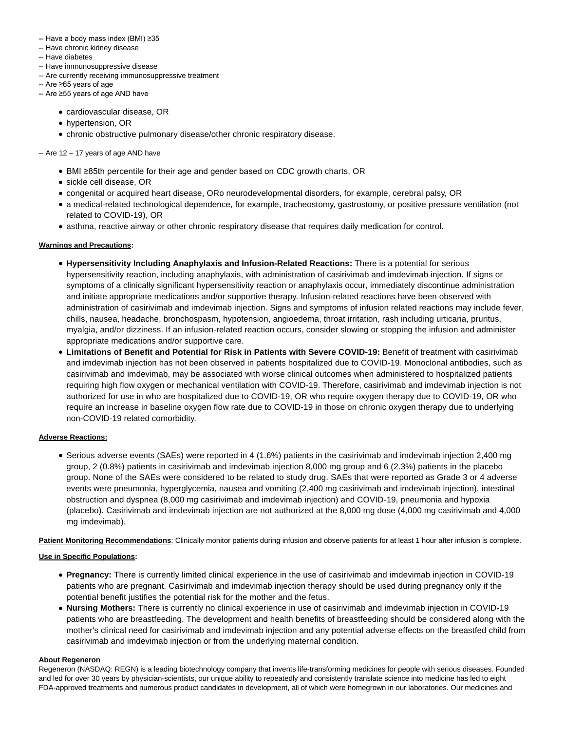- -- Have a body mass index (BMI) ≥35
- -- Have chronic kidney disease
- -- Have diabetes
- -- Have immunosuppressive disease
- -- Are currently receiving immunosuppressive treatment
- -- Are ≥65 years of age
- -- Are ≥55 years of age AND have
	- cardiovascular disease, OR
	- hypertension, OR
	- chronic obstructive pulmonary disease/other chronic respiratory disease.
- -- Are 12 17 years of age AND have
	- BMI ≥85th percentile for their age and gender based on CDC growth charts, OR
	- sickle cell disease, OR
	- congenital or acquired heart disease, ORo neurodevelopmental disorders, for example, cerebral palsy, OR
	- a medical-related technological dependence, for example, tracheostomy, gastrostomy, or positive pressure ventilation (not related to COVID-19), OR
	- asthma, reactive airway or other chronic respiratory disease that requires daily medication for control.

## **Warnings and Precautions:**

- **Hypersensitivity Including Anaphylaxis and Infusion-Related Reactions:** There is a potential for serious hypersensitivity reaction, including anaphylaxis, with administration of casirivimab and imdevimab injection. If signs or symptoms of a clinically significant hypersensitivity reaction or anaphylaxis occur, immediately discontinue administration and initiate appropriate medications and/or supportive therapy. Infusion-related reactions have been observed with administration of casirivimab and imdevimab injection. Signs and symptoms of infusion related reactions may include fever, chills, nausea, headache, bronchospasm, hypotension, angioedema, throat irritation, rash including urticaria, pruritus, myalgia, and/or dizziness. If an infusion-related reaction occurs, consider slowing or stopping the infusion and administer appropriate medications and/or supportive care.
- **Limitations of Benefit and Potential for Risk in Patients with Severe COVID-19:** Benefit of treatment with casirivimab and imdevimab injection has not been observed in patients hospitalized due to COVID-19. Monoclonal antibodies, such as casirivimab and imdevimab, may be associated with worse clinical outcomes when administered to hospitalized patients requiring high flow oxygen or mechanical ventilation with COVID-19. Therefore, casirivimab and imdevimab injection is not authorized for use in who are hospitalized due to COVID-19, OR who require oxygen therapy due to COVID-19, OR who require an increase in baseline oxygen flow rate due to COVID-19 in those on chronic oxygen therapy due to underlying non-COVID-19 related comorbidity.

# **Adverse Reactions:**

Serious adverse events (SAEs) were reported in 4 (1.6%) patients in the casirivimab and imdevimab injection 2,400 mg group, 2 (0.8%) patients in casirivimab and imdevimab injection 8,000 mg group and 6 (2.3%) patients in the placebo group. None of the SAEs were considered to be related to study drug. SAEs that were reported as Grade 3 or 4 adverse events were pneumonia, hyperglycemia, nausea and vomiting (2,400 mg casirivimab and imdevimab injection), intestinal obstruction and dyspnea (8,000 mg casirivimab and imdevimab injection) and COVID-19, pneumonia and hypoxia (placebo). Casirivimab and imdevimab injection are not authorized at the 8,000 mg dose (4,000 mg casirivimab and 4,000 mg imdevimab).

**Patient Monitoring Recommendations**: Clinically monitor patients during infusion and observe patients for at least 1 hour after infusion is complete.

## **Use in Specific Populations:**

- **Pregnancy:** There is currently limited clinical experience in the use of casirivimab and imdevimab injection in COVID-19 patients who are pregnant. Casirivimab and imdevimab injection therapy should be used during pregnancy only if the potential benefit justifies the potential risk for the mother and the fetus.
- **Nursing Mothers:** There is currently no clinical experience in use of casirivimab and imdevimab injection in COVID-19 patients who are breastfeeding. The development and health benefits of breastfeeding should be considered along with the mother's clinical need for casirivimab and imdevimab injection and any potential adverse effects on the breastfed child from casirivimab and imdevimab injection or from the underlying maternal condition.

#### **About Regeneron**

Regeneron (NASDAQ: REGN) is a leading biotechnology company that invents life-transforming medicines for people with serious diseases. Founded and led for over 30 years by physician-scientists, our unique ability to repeatedly and consistently translate science into medicine has led to eight FDA-approved treatments and numerous product candidates in development, all of which were homegrown in our laboratories. Our medicines and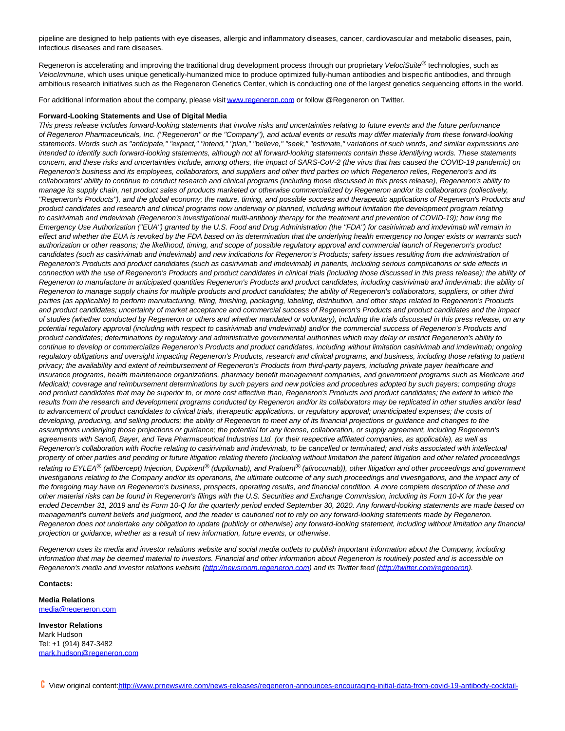pipeline are designed to help patients with eye diseases, allergic and inflammatory diseases, cancer, cardiovascular and metabolic diseases, pain, infectious diseases and rare diseases.

Regeneron is accelerating and improving the traditional drug development process through our proprietary VelociSuite® technologies, such as VelocImmune, which uses unique genetically-humanized mice to produce optimized fully-human antibodies and bispecific antibodies, and through ambitious research initiatives such as the Regeneron Genetics Center, which is conducting one of the largest genetics sequencing efforts in the world.

For additional information about the company, please visi[t www.regeneron.com o](https://c212.net/c/link/?t=0&l=en&o=3023456-1&h=242637103&u=http%3A%2F%2Fwww.regeneron.com%2F&a=www.regeneron.com)r follow @Regeneron on Twitter.

#### **Forward-Looking Statements and Use of Digital Media**

This press release includes forward-looking statements that involve risks and uncertainties relating to future events and the future performance of Regeneron Pharmaceuticals, Inc. ("Regeneron" or the "Company"), and actual events or results may differ materially from these forward-looking statements. Words such as "anticipate," "expect," "intend," "plan," "believe," "seek," "estimate," variations of such words, and similar expressions are intended to identify such forward-looking statements, although not all forward-looking statements contain these identifying words. These statements concern, and these risks and uncertainties include, among others, the impact of SARS-CoV-2 (the virus that has caused the COVID-19 pandemic) on Regeneron's business and its employees, collaborators, and suppliers and other third parties on which Regeneron relies, Regeneron's and its collaborators' ability to continue to conduct research and clinical programs (including those discussed in this press release), Regeneron's ability to manage its supply chain, net product sales of products marketed or otherwise commercialized by Regeneron and/or its collaborators (collectively, "Regeneron's Products"), and the global economy; the nature, timing, and possible success and therapeutic applications of Regeneron's Products and product candidates and research and clinical programs now underway or planned, including without limitation the development program relating to casirivimab and imdevimab (Regeneron's investigational multi-antibody therapy for the treatment and prevention of COVID-19); how long the Emergency Use Authorization ("EUA") granted by the U.S. Food and Drug Administration (the "FDA") for casirivimab and imdevimab will remain in effect and whether the EUA is revoked by the FDA based on its determination that the underlying health emergency no longer exists or warrants such authorization or other reasons; the likelihood, timing, and scope of possible regulatory approval and commercial launch of Regeneron's product candidates (such as casirivimab and imdevimab) and new indications for Regeneron's Products; safety issues resulting from the administration of Regeneron's Products and product candidates (such as casirivimab and imdevimab) in patients, including serious complications or side effects in connection with the use of Regeneron's Products and product candidates in clinical trials (including those discussed in this press release); the ability of Regeneron to manufacture in anticipated quantities Regeneron's Products and product candidates, including casirivimab and imdevimab; the ability of Regeneron to manage supply chains for multiple products and product candidates; the ability of Regeneron's collaborators, suppliers, or other third parties (as applicable) to perform manufacturing, filling, finishing, packaging, labeling, distribution, and other steps related to Regeneron's Products and product candidates; uncertainty of market acceptance and commercial success of Regeneron's Products and product candidates and the impact of studies (whether conducted by Regeneron or others and whether mandated or voluntary), including the trials discussed in this press release, on any potential regulatory approval (including with respect to casirivimab and imdevimab) and/or the commercial success of Regeneron's Products and product candidates; determinations by regulatory and administrative governmental authorities which may delay or restrict Regeneron's ability to continue to develop or commercialize Regeneron's Products and product candidates, including without limitation casirivimab and imdevimab; ongoing regulatory obligations and oversight impacting Regeneron's Products, research and clinical programs, and business, including those relating to patient privacy; the availability and extent of reimbursement of Regeneron's Products from third-party payers, including private payer healthcare and insurance programs, health maintenance organizations, pharmacy benefit management companies, and government programs such as Medicare and Medicaid; coverage and reimbursement determinations by such payers and new policies and procedures adopted by such payers; competing drugs and product candidates that may be superior to, or more cost effective than, Regeneron's Products and product candidates; the extent to which the results from the research and development programs conducted by Regeneron and/or its collaborators may be replicated in other studies and/or lead to advancement of product candidates to clinical trials, therapeutic applications, or regulatory approval; unanticipated expenses; the costs of developing, producing, and selling products; the ability of Regeneron to meet any of its financial projections or guidance and changes to the assumptions underlying those projections or guidance; the potential for any license, collaboration, or supply agreement, including Regeneron's agreements with Sanofi, Bayer, and Teva Pharmaceutical Industries Ltd. (or their respective affiliated companies, as applicable), as well as Regeneron's collaboration with Roche relating to casirivimab and imdevimab, to be cancelled or terminated; and risks associated with intellectual property of other parties and pending or future litigation relating thereto (including without limitation the patent litigation and other related proceedings relating to EYLEA<sup>®</sup> (aflibercept) Injection, Dupixent<sup>®</sup> (dupilumab), and Praluent<sup>®</sup> (alirocumab)), other litigation and other proceedings and government investigations relating to the Company and/or its operations, the ultimate outcome of any such proceedings and investigations, and the impact any of the foregoing may have on Regeneron's business, prospects, operating results, and financial condition. A more complete description of these and other material risks can be found in Regeneron's filings with the U.S. Securities and Exchange Commission, including its Form 10-K for the year ended December 31, 2019 and its Form 10-Q for the quarterly period ended September 30, 2020. Any forward-looking statements are made based on management's current beliefs and judgment, and the reader is cautioned not to rely on any forward-looking statements made by Regeneron. Regeneron does not undertake any obligation to update (publicly or otherwise) any forward-looking statement, including without limitation any financial projection or guidance, whether as a result of new information, future events, or otherwise.

Regeneron uses its media and investor relations website and social media outlets to publish important information about the Company, including information that may be deemed material to investors. Financial and other information about Regeneron is routinely posted and is accessible on Regeneron's media and investor relations website [\(http://newsroom.regeneron.com\)](https://c212.net/c/link/?t=0&l=en&o=3023456-1&h=3868499509&u=https%3A%2F%2Fc212.net%2Fc%2Flink%2F%3Ft%3D0%26l%3Den%26o%3D3017244-1%26h%3D262630279%26u%3Dhttps%253A%252F%252Fc212.net%252Fc%252Flink%252F%253Ft%253D0%2526l%253Den%2526o%253D2849984-1%2526h%253D2726862945%2526u%253Dhttp%25253A%25252F%25252Fnewsroom.regeneron.com%25252F%2526a%253Dhttp%25253A%25252F%25252Fnewsroom.regeneron.com%26a%3Dhttp%253A%252F%252Fnewsroom.regeneron.com&a=http%3A%2F%2Fnewsroom.regeneron.com) and its Twitter feed [\(http://twitter.com/regeneron\).](https://c212.net/c/link/?t=0&l=en&o=3023456-1&h=3643970389&u=https%3A%2F%2Fc212.net%2Fc%2Flink%2F%3Ft%3D0%26l%3Den%26o%3D3017244-1%26h%3D2554083831%26u%3Dhttps%253A%252F%252Fc212.net%252Fc%252Flink%252F%253Ft%253D0%2526l%253Den%2526o%253D2849984-1%2526h%253D1110593425%2526u%253Dhttp%25253A%25252F%25252Ftwitter.com%25252Fregeneron%2526a%253Dhttp%25253A%25252F%25252Ftwitter.com%25252Fregeneron%26a%3Dhttp%253A%252F%252Ftwitter.com%252Fregeneron&a=http%3A%2F%2Ftwitter.com%2Fregeneron)

**Contacts:**

**Media Relations** [media@regeneron.com](mailto:media@regeneron.com)

**Investor Relations** Mark Hudson Tel: +1 (914) 847-3482 [mark.hudson@regeneron.com](mailto:mark.hudson@regeneron.com)